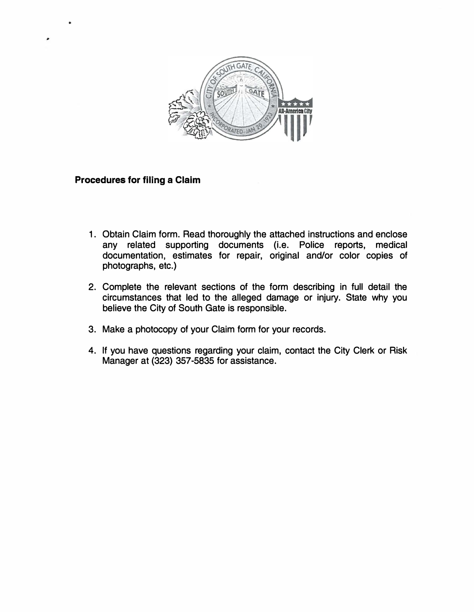

## **Procedures for filing a Claim**

..

- 1. Obtain Claim form. Read thoroughly the attached instructions and enclose any related supporting documents (i.e. Police reports, medical documentation, estimates for repair, original and/or color copies of photographs, etc.)
- 2. Complete the relevant sections of the form describing in full detail the circumstances that led to the alleged damage or injury. State why you believe the City of South Gate is responsible.
- 3. Make a photocopy of your Claim form for your records.
- 4. If you have questions regarding your claim, contact the City Clerk or Risk Manager at (323) 357-5835 for assistance.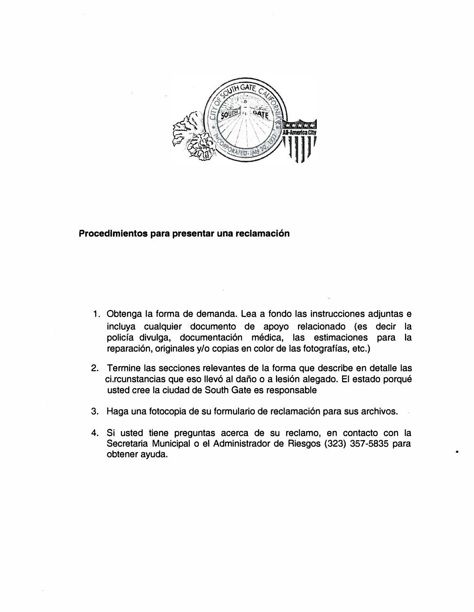

#### **Procedlmientos para pre�entar una reclamacion**

- 1 . Obtenga la forma de demanda. Lea a fondo las instrucciones adjuntas e incluya cualquier documento de apoyo relacionado (es decir la policía divulga, documentación médica, las estimaciones para la reparación, originales y/o copias en color de las fotografías, etc.)
- 2. Termine las secciones relevantes de la forma que describe en detalle las ci.rcunstancias que eso llevó al daño o a lesión alegado. El estado porqué usted cree la ciudad de South Gate es responsable
- 3. Haga una fotocopia de su formulario de reclamación para sus archivos.
- 4. Si usted tiene preguntas acerca de su reclamo, en contacto con la Secretaria Municipal o el Administrador de Riesgos (323) 357-5835 para obtener ayuda.

•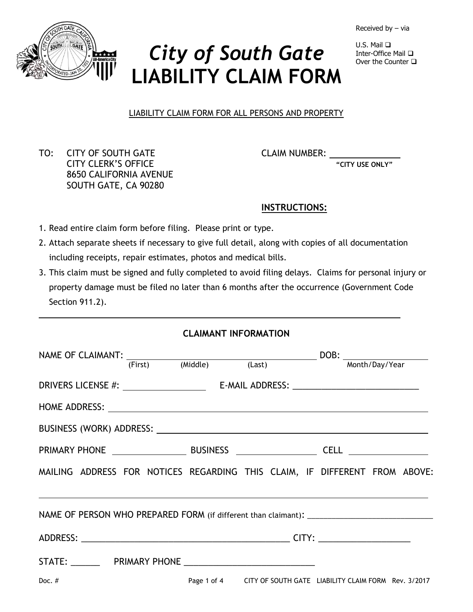Received by – via



# *City of South Gate* **LIABILITY CLAIM FORM**

 $U.S.$  Mail  $\Box$ Inter-Office Mail Over the Counter  $\Box$ 

LIABILITY CLAIM FORM FOR ALL PERSONS AND PROPERTY

TO: CITY OF SOUTH GATE CLAIM NUMBER: CITY CLERK'S OFFICE **"CITY USE ONLY"** 8650 CALIFORNIA AVENUE SOUTH GATE, CA 90280

## **INSTRUCTIONS:**

- 1. Read entire claim form before filing. Please print or type.
- 2. Attach separate sheets if necessary to give full detail, along with copies of all documentation including receipts, repair estimates, photos and medical bills.
- 3. This claim must be signed and fully completed to avoid filing delays. Claims for personal injury or property damage must be filed no later than 6 months after the occurrence (Government Code Section 911.2).

## **CLAIMANT INFORMATION**

|                                                                            |  |                                                                 | NAME OF CLAIMANT: $\frac{1}{r^2}$ (Middle) (Last) DOB: $\frac{1}{r}$ Month/Day/Year |  |  |  |
|----------------------------------------------------------------------------|--|-----------------------------------------------------------------|-------------------------------------------------------------------------------------|--|--|--|
|                                                                            |  |                                                                 |                                                                                     |  |  |  |
|                                                                            |  |                                                                 |                                                                                     |  |  |  |
|                                                                            |  |                                                                 |                                                                                     |  |  |  |
|                                                                            |  |                                                                 |                                                                                     |  |  |  |
|                                                                            |  |                                                                 |                                                                                     |  |  |  |
| MAILING ADDRESS FOR NOTICES REGARDING THIS CLAIM, IF DIFFERENT FROM ABOVE: |  |                                                                 |                                                                                     |  |  |  |
|                                                                            |  |                                                                 |                                                                                     |  |  |  |
|                                                                            |  |                                                                 |                                                                                     |  |  |  |
|                                                                            |  |                                                                 |                                                                                     |  |  |  |
| Doc. $#$                                                                   |  | Page 1 of 4 CITY OF SOUTH GATE LIABILITY CLAIM FORM Rev. 3/2017 |                                                                                     |  |  |  |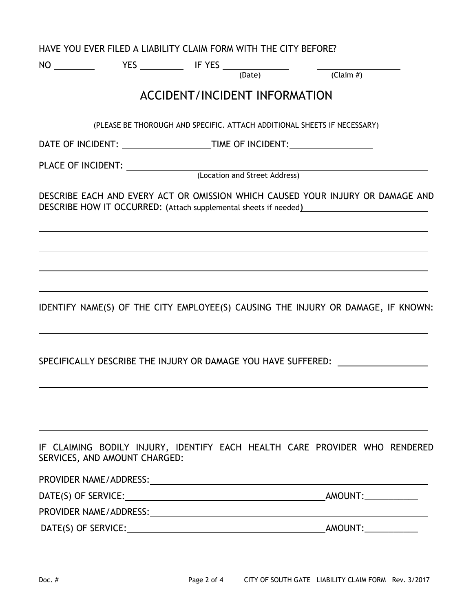|                               | HAVE YOU EVER FILED A LIABILITY CLAIM FORM WITH THE CITY BEFORE?                                                       |  |                               |                     |
|-------------------------------|------------------------------------------------------------------------------------------------------------------------|--|-------------------------------|---------------------|
|                               | $N0 \underline{\hspace{2cm}} \text{YES} \underline{\hspace{2cm}} \text{IF Yes} \underline{\hspace{2cm}} \text{(Date)}$ |  | $\frac{1}{\text{(Claim  #)}}$ |                     |
|                               | <b>ACCIDENT/INCIDENT INFORMATION</b>                                                                                   |  |                               |                     |
|                               | (PLEASE BE THOROUGH AND SPECIFIC. ATTACH ADDITIONAL SHEETS IF NECESSARY)                                               |  |                               |                     |
|                               |                                                                                                                        |  |                               |                     |
|                               |                                                                                                                        |  |                               |                     |
|                               |                                                                                                                        |  |                               |                     |
|                               | DESCRIBE EACH AND EVERY ACT OR OMISSION WHICH CAUSED YOUR INJURY OR DAMAGE AND                                         |  |                               |                     |
|                               |                                                                                                                        |  |                               |                     |
|                               | IDENTIFY NAME(S) OF THE CITY EMPLOYEE(S) CAUSING THE INJURY OR DAMAGE, IF KNOWN:                                       |  |                               |                     |
|                               | SPECIFICALLY DESCRIBE THE INJURY OR DAMAGE YOU HAVE SUFFERED:                                                          |  |                               |                     |
|                               |                                                                                                                        |  |                               |                     |
| SERVICES, AND AMOUNT CHARGED: | IF CLAIMING BODILY INJURY, IDENTIFY EACH HEALTH CARE PROVIDER WHO RENDERED                                             |  |                               |                     |
|                               |                                                                                                                        |  |                               |                     |
|                               |                                                                                                                        |  |                               | AMOUNT:____________ |
|                               |                                                                                                                        |  |                               |                     |
|                               |                                                                                                                        |  |                               |                     |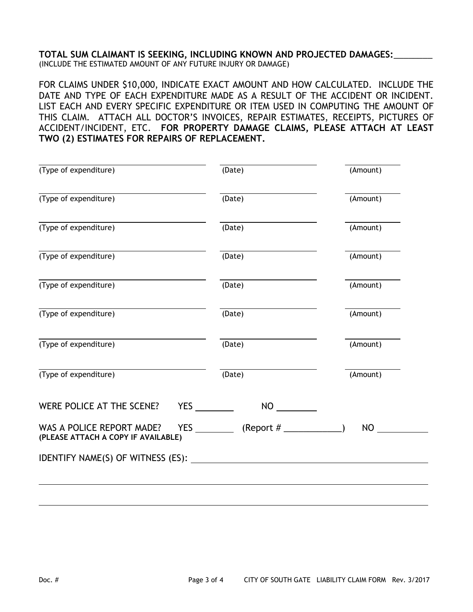### **TOTAL SUM CLAIMANT IS SEEKING, INCLUDING KNOWN AND PROJECTED DAMAGES:**\_\_\_\_\_\_\_\_ (INCLUDE THE ESTIMATED AMOUNT OF ANY FUTURE INJURY OR DAMAGE)

FOR CLAIMS UNDER \$10,000, INDICATE EXACT AMOUNT AND HOW CALCULATED. INCLUDE THE DATE AND TYPE OF EACH EXPENDITURE MADE AS A RESULT OF THE ACCIDENT OR INCIDENT. LIST EACH AND EVERY SPECIFIC EXPENDITURE OR ITEM USED IN COMPUTING THE AMOUNT OF THIS CLAIM. ATTACH ALL DOCTOR'S INVOICES, REPAIR ESTIMATES, RECEIPTS, PICTURES OF ACCIDENT/INCIDENT, ETC. **FOR PROPERTY DAMAGE CLAIMS, PLEASE ATTACH AT LEAST TWO (2) ESTIMATES FOR REPAIRS OF REPLACEMENT.**

| (Type of expenditure)                                            | (Date)                                        | (Amount)  |
|------------------------------------------------------------------|-----------------------------------------------|-----------|
| (Type of expenditure)                                            | (Date)                                        | (Amount)  |
| (Type of expenditure)                                            | (Date)                                        | (Amount)  |
| (Type of expenditure)                                            | (Date)                                        | (Amount)  |
| (Type of expenditure)                                            | (Date)                                        | (Amount)  |
| (Type of expenditure)                                            | (Date)                                        | (Amount)  |
| (Type of expenditure)                                            | (Date)                                        | (Amount)  |
| (Type of expenditure)                                            | (Date)                                        | (Amount)  |
| WERE POLICE AT THE SCENE?                                        | <b>YES</b><br>NO <sub>cco</sub>               |           |
| WAS A POLICE REPORT MADE?<br>(PLEASE ATTACH A COPY IF AVAILABLE) | YES ____________ (Report $\#$ ______________) | <b>NO</b> |
|                                                                  |                                               |           |